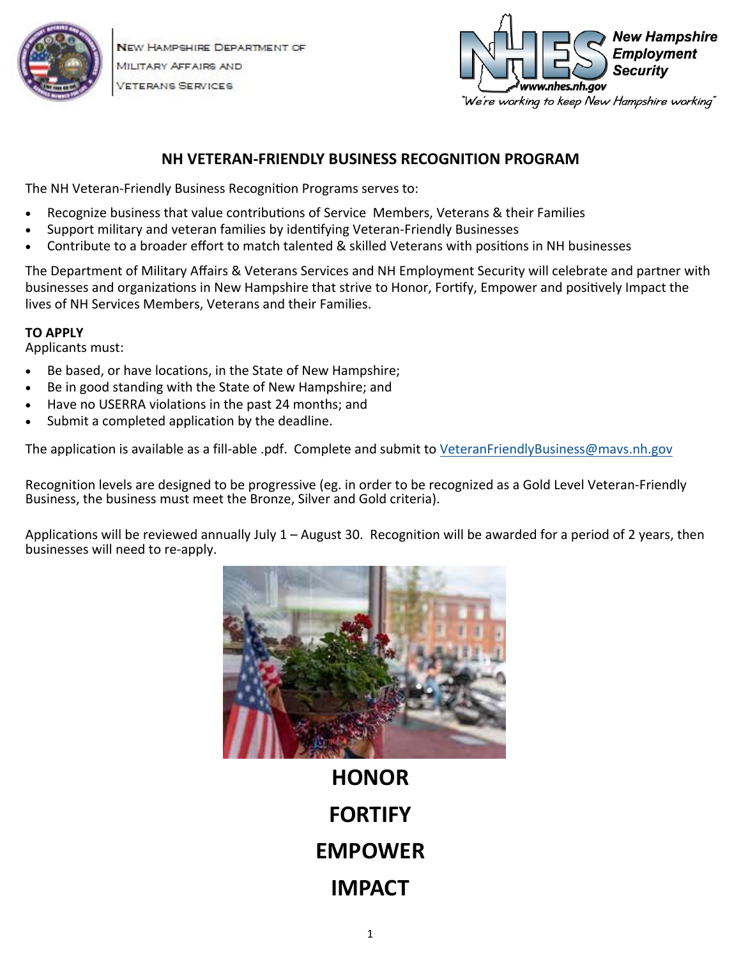

NEW HAMPSHIRE DEPARTMENT OF MILITARY AFFAIRS AND **/ETERANS SERVICES** 



### **NH VETERAN‐FRIENDLY BUSINESS RECOGNITION PROGRAM**

The NH Veteran-Friendly Business Recognition Programs serves to:

- Recognize business that value contributions of Service Members, Veterans & their Families
- Support military and veteran families by identifying Veteran-Friendly Businesses
- Contribute to a broader effort to match talented & skilled Veterans with positions in NH businesses

The Department of Military Affairs & Veterans Services and NH Employment Security will celebrate and partner with businesses and organizations in New Hampshire that strive to Honor, Fortify, Empower and positively Impact the lives of NH Services Members, Veterans and their Families.

### **TO APPLY**

Applicants must:

- Be based, or have locations, in the State of New Hampshire;
- Be in good standing with the State of New Hampshire; and
- Have no USERRA violations in the past 24 months; and
- Submit a completed application by the deadline.

The application is available as a fill-able .pdf. Complete and submit to VeteranFriendlyBusiness@mavs.nh.gov

Recognition levels are designed to be progressive (eg. in order to be recognized as a Gold Level Veteran‐Friendly Business, the business must meet the Bronze, Silver and Gold criteria).

Applications will be reviewed annually July 1 – August 30. Recognition will be awarded for a period of 2 years, then businesses will need to re‐apply.



**HONOR FORTIFY EMPOWER IMPACT**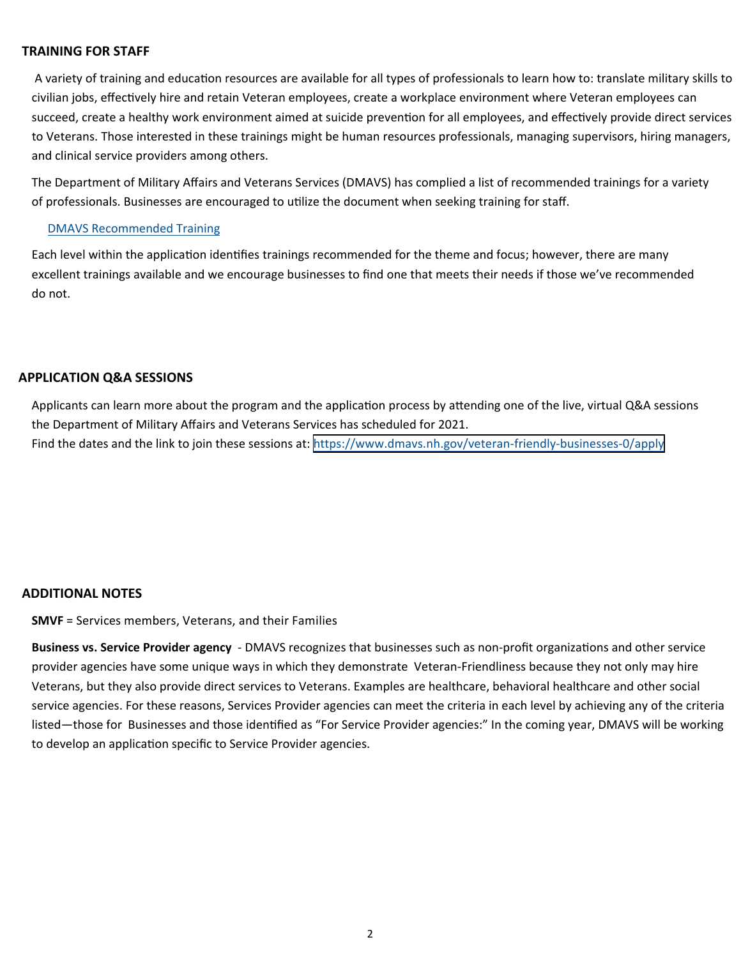#### **TRAINING FOR STAFF**

A variety of training and education resources are available for all types of professionals to learn how to: translate military skills to civilian jobs, effectively hire and retain Veteran employees, create a workplace environment where Veteran employees can succeed, create a healthy work environment aimed at suicide prevention for all employees, and effectively provide direct services to Veterans. Those interested in these trainings might be human resources professionals, managing supervisors, hiring managers, and clinical service providers among others.

The Department of Military Affairs and Veterans Services (DMAVS) has complied a list of recommended trainings for a variety of professionals. Businesses are encouraged to utilize the document when seeking training for staff.

#### DMAVS [Recommended](https://www.dmavs.nh.gov/sites/g/files/ehbemt401/files/inline-documents/sonh/military-cultural-competency-training.pdf) Training

Each level within the application identifies trainings recommended for the theme and focus; however, there are many excellent trainings available and we encourage businesses to find one that meets their needs if those we've recommended do not.

#### **APPLICATION Q&A SESSIONS**

Applicants can learn more about the program and the application process by attending one of the live, virtual Q&A sessions the Department of Military Affairs and Veterans Services has scheduled for 2021. Find the dates and the link to join these sessions at: <https://www.dmavs.nh.gov/veteran-friendly-businesses-0/apply>

#### **ADDITIONAL NOTES**

**SMVF** = Services members, Veterans, and their Families

**Business vs. Service Provider agency** - DMAVS recognizes that businesses such as non-profit organizations and other service provider agencies have some unique ways in which they demonstrate Veteran‐Friendliness because they not only may hire Veterans, but they also provide direct services to Veterans. Examples are healthcare, behavioral healthcare and other social service agencies. For these reasons, Services Provider agencies can meet the criteria in each level by achieving any of the criteria listed—those for Businesses and those identified as "For Service Provider agencies:" In the coming year, DMAVS will be working to develop an application specific to Service Provider agencies.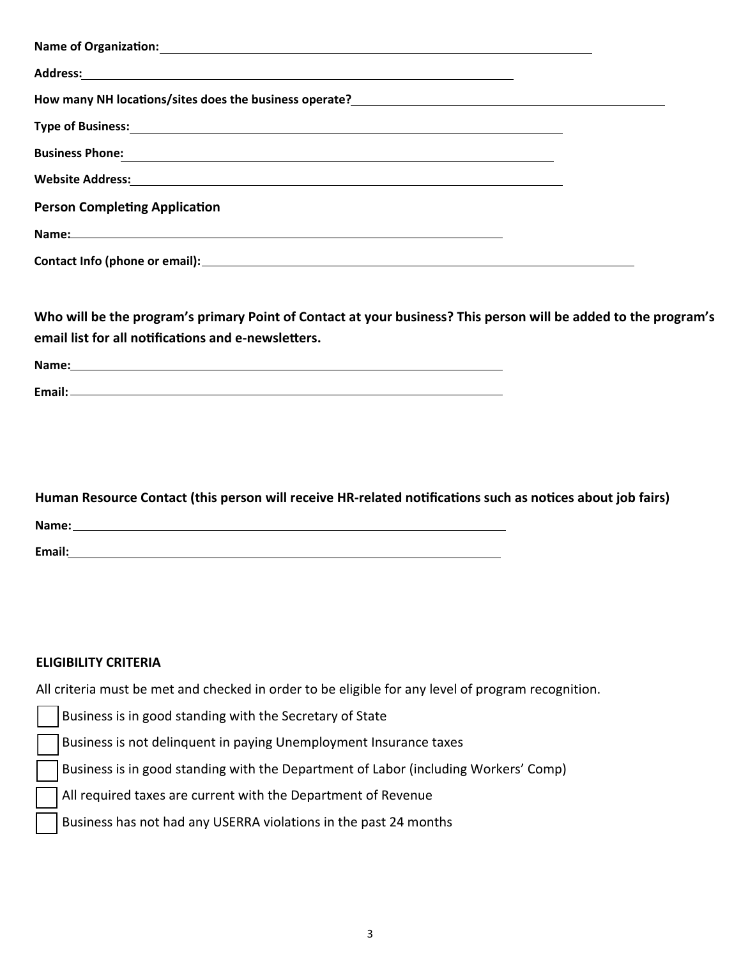| Address: Address:                                                                                                                                                               |  |
|---------------------------------------------------------------------------------------------------------------------------------------------------------------------------------|--|
| How many NH locations/sites does the business operate?<br><u>Lange and the manus and the manus and the manus and the manus and the manus and the manus and the manus and th</u> |  |
| <b>Type of Business:</b> Type of Business:                                                                                                                                      |  |
| <b>Business Phone:</b><br><u> Business Phone:</u>                                                                                                                               |  |
|                                                                                                                                                                                 |  |
| <b>Person Completing Application</b>                                                                                                                                            |  |
|                                                                                                                                                                                 |  |
|                                                                                                                                                                                 |  |

**Who will be the program's primary Point of Contact at your business? This person will be added to the program's email list for all noƟficaƟons and e‐newsleƩers.** 

| Name: |  |  |  |
|-------|--|--|--|
|       |  |  |  |

**Email:** 

| Human Resource Contact (this person will receive HR-related notifications such as notices about job fairs) |  |
|------------------------------------------------------------------------------------------------------------|--|
| Name:                                                                                                      |  |
| Email:                                                                                                     |  |

### **ELIGIBILITY CRITERIA**

All criteria must be met and checked in order to be eligible for any level of program recognition.

Business is in good standing with the Secretary of State

Business is not delinquent in paying Unemployment Insurance taxes

Business is in good standing with the Department of Labor (including Workers' Comp)

All required taxes are current with the Department of Revenue

Business has not had any USERRA violations in the past 24 months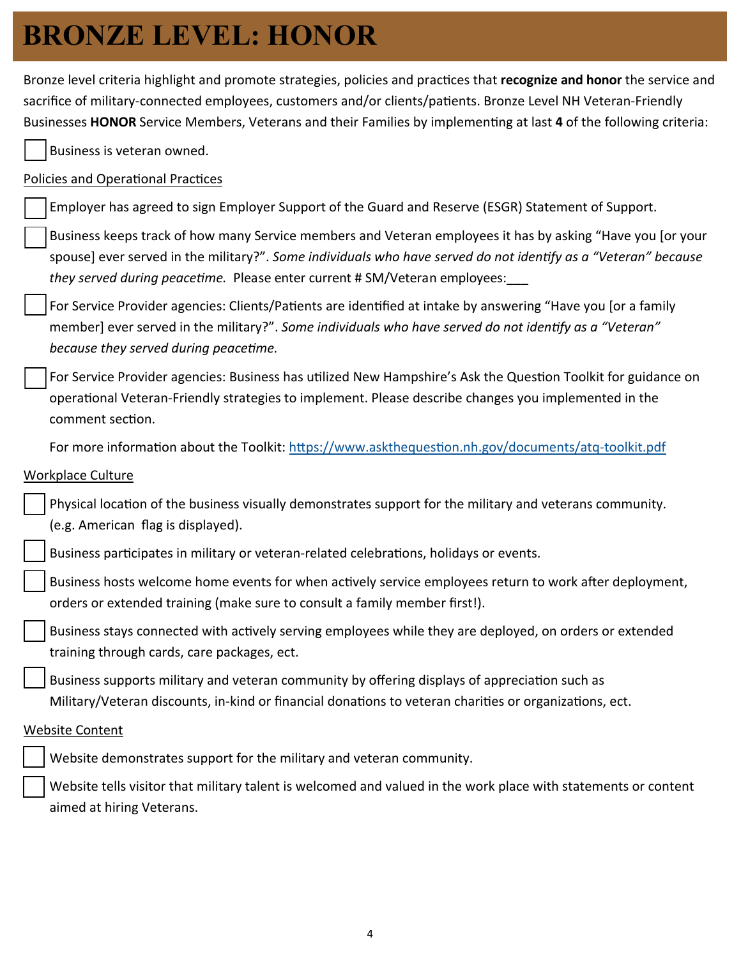## **BRONZE LEVEL: HONOR**

Bronze level criteria highlight and promote strategies, policies and practices that *recognize* and honor the service and sacrifice of military-connected employees, customers and/or clients/patients. Bronze Level NH Veteran-Friendly Businesses HONOR Service Members, Veterans and their Families by implementing at last 4 of the following criteria:

Business is veteran owned.

### Policies and Operational Practices

Employer has agreed to sign Employer Support of the Guard and Reserve (ESGR) Statement of Support.

Business keeps track of how many Service members and Veteran employees it has by asking "Have you [or your spouse] ever served in the military?". Some individuals who have served do not identify as a "Veteran" because *they served during peacetime.* Please enter current # SM/Veteran employees:

For Service Provider agencies: Clients/Patients are identified at intake by answering "Have you [or a family member] ever served in the military?". *Some individuals who have served do not identify as a "Veteran" because they served during peacefime.* 

For Service Provider agencies: Business has utilized New Hampshire's Ask the Question Toolkit for guidance on operational Veteran-Friendly strategies to implement. Please describe changes you implemented in the comment section.

For more information about the Toolkit: https://www.askthequesti[on.nh.gov/documents/atq](https://www.askthequestion.nh.gov/documents/atq-toolkit.pdf)-toolkit.pdf

### Workplace Culture

| Physical location of the business visually demonstrates support for the military and veterans community. |
|----------------------------------------------------------------------------------------------------------|
| (e.g. American flag is displayed).                                                                       |

Business participates in military or veteran-related celebrations, holidays or events.

Business hosts welcome home events for when actively service employees return to work after deployment, orders or extended training (make sure to consult a family member first!).

Business stays connected with actively serving employees while they are deployed, on orders or extended training through cards, care packages, ect.

Business supports military and veteran community by offering displays of appreciation such as Military/Veteran discounts, in-kind or financial donations to veteran charities or organizations, ect.

#### Website Content

Website demonstrates support for the military and veteran community.

Website tells visitor that military talent is welcomed and valued in the work place with statements or content aimed at hiring Veterans.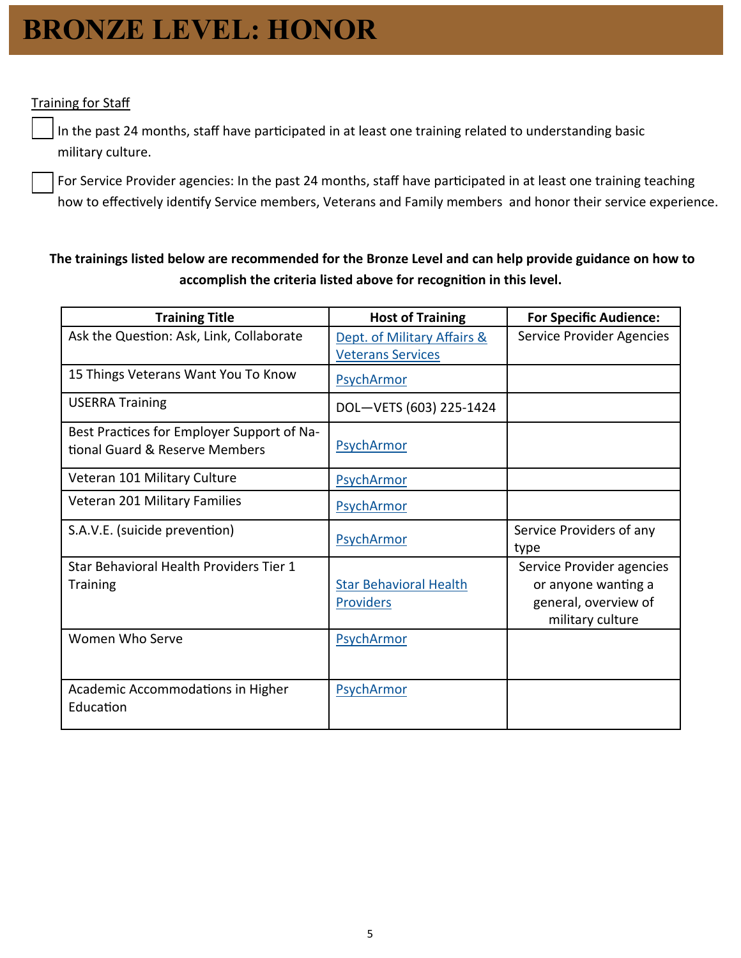## **BRONZE LEVEL: HONOR**

### **Training for Staff**

In the past 24 months, staff have participated in at least one training related to understanding basic military culture.

For Service Provider agencies: In the past 24 months, staff have participated in at least one training teaching how to effectively identify Service members, Veterans and Family members and honor their service experience.

### **The trainings listed below are recommended for the Bronze Level and can help provide guidance on how to**  accomplish the criteria listed above for recognition in this level.

| <b>Training Title</b>                                                        | <b>Host of Training</b>                                 | <b>For Specific Audience:</b>                                                                |
|------------------------------------------------------------------------------|---------------------------------------------------------|----------------------------------------------------------------------------------------------|
| Ask the Question: Ask, Link, Collaborate                                     | Dept. of Military Affairs &<br><b>Veterans Services</b> | Service Provider Agencies                                                                    |
| 15 Things Veterans Want You To Know                                          | PsychArmor                                              |                                                                                              |
| <b>USERRA Training</b>                                                       | DOL-VETS (603) 225-1424                                 |                                                                                              |
| Best Practices for Employer Support of Na-<br>tional Guard & Reserve Members | PsychArmor                                              |                                                                                              |
| Veteran 101 Military Culture                                                 | PsychArmor                                              |                                                                                              |
| Veteran 201 Military Families                                                | PsychArmor                                              |                                                                                              |
| S.A.V.E. (suicide prevention)                                                | PsychArmor                                              | Service Providers of any<br>type                                                             |
| Star Behavioral Health Providers Tier 1<br><b>Training</b>                   | <b>Star Behavioral Health</b><br><b>Providers</b>       | Service Provider agencies<br>or anyone wanting a<br>general, overview of<br>military culture |
| Women Who Serve                                                              | PsychArmor                                              |                                                                                              |
| Academic Accommodations in Higher<br>Education                               | PsychArmor                                              |                                                                                              |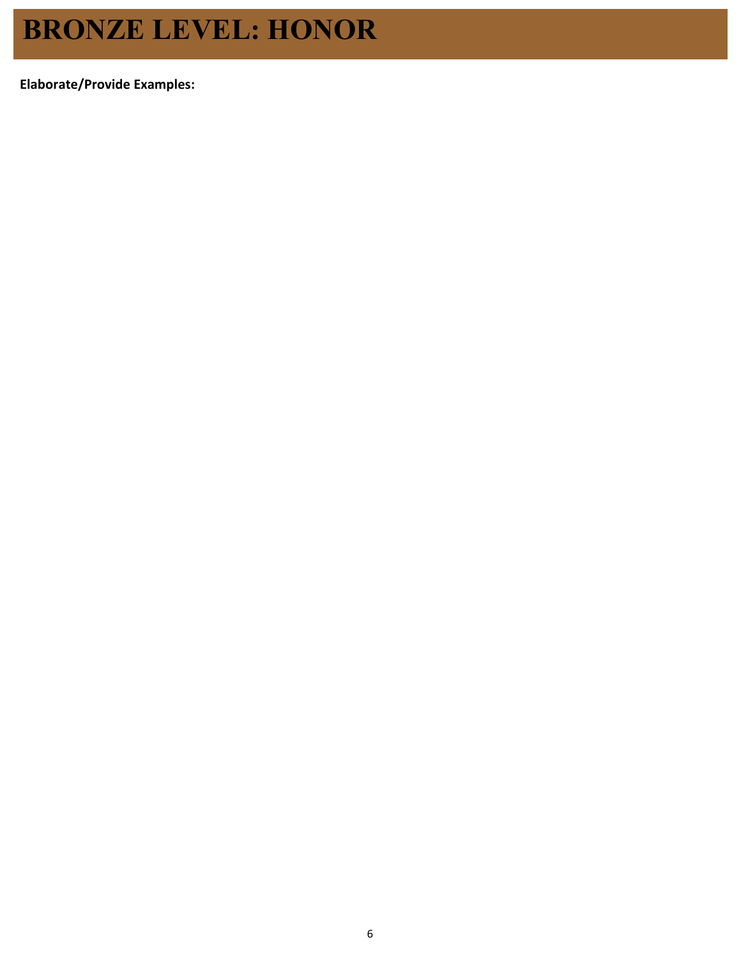## **BRONZE LEVEL: HONOR**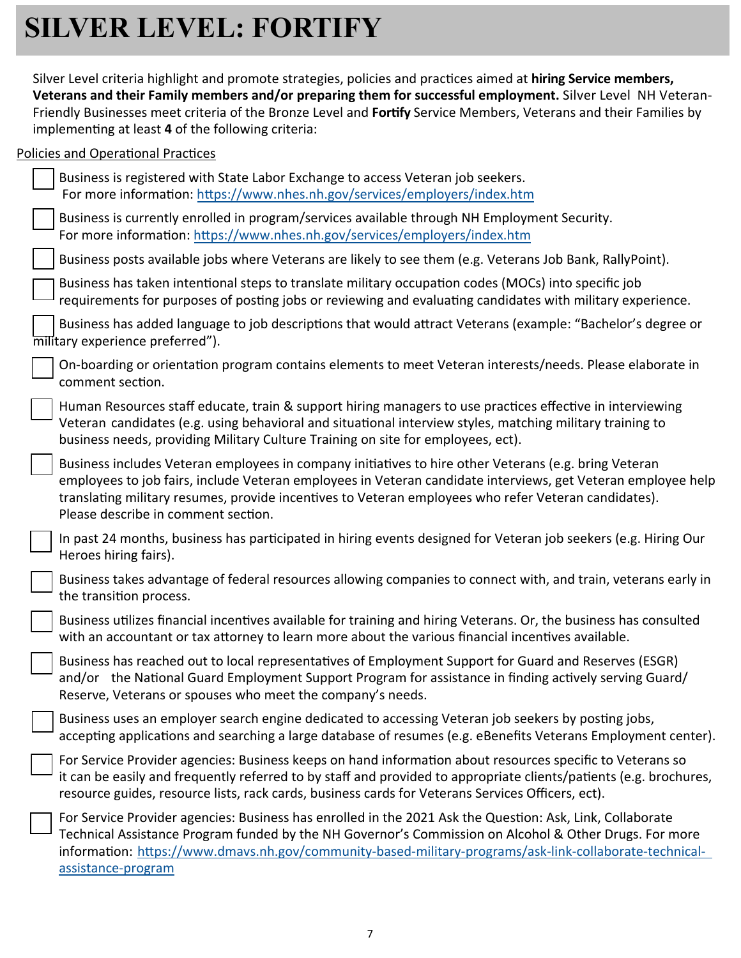# **SILVER LEVEL: FORTIFY**

Silver Level criteria highlight and promote strategies, policies and practices aimed at **hiring Service members, Veterans and their Family members and/or preparing them for successful employment.** Silver Level NH Veteran‐ Friendly Businesses meet criteria of the Bronze Level and Fortify Service Members, Veterans and their Families by implementing at least 4 of the following criteria:

### Policies and Operational Practices

| Business is registered with State Labor Exchange to access Veteran job seekers.<br>For more information: https://www.nhes.nh.gov/services/employers/index.htm                                                                                                                                                                                                        |
|----------------------------------------------------------------------------------------------------------------------------------------------------------------------------------------------------------------------------------------------------------------------------------------------------------------------------------------------------------------------|
| Business is currently enrolled in program/services available through NH Employment Security.<br>For more information: https://www.nhes.nh.gov/services/employers/index.htm                                                                                                                                                                                           |
| Business posts available jobs where Veterans are likely to see them (e.g. Veterans Job Bank, RallyPoint).                                                                                                                                                                                                                                                            |
| Business has taken intentional steps to translate military occupation codes (MOCs) into specific job<br>requirements for purposes of posting jobs or reviewing and evaluating candidates with military experience.                                                                                                                                                   |
| Business has added language to job descriptions that would attract Veterans (example: "Bachelor's degree or<br>military experience preferred").                                                                                                                                                                                                                      |
| On-boarding or orientation program contains elements to meet Veteran interests/needs. Please elaborate in<br>comment section.                                                                                                                                                                                                                                        |
| Human Resources staff educate, train & support hiring managers to use practices effective in interviewing<br>Veteran candidates (e.g. using behavioral and situational interview styles, matching military training to<br>business needs, providing Military Culture Training on site for employees, ect).                                                           |
| Business includes Veteran employees in company initiatives to hire other Veterans (e.g. bring Veteran<br>employees to job fairs, include Veteran employees in Veteran candidate interviews, get Veteran employee help<br>translating military resumes, provide incentives to Veteran employees who refer Veteran candidates).<br>Please describe in comment section. |
| In past 24 months, business has participated in hiring events designed for Veteran job seekers (e.g. Hiring Our<br>Heroes hiring fairs).                                                                                                                                                                                                                             |
| Business takes advantage of federal resources allowing companies to connect with, and train, veterans early in<br>the transition process.                                                                                                                                                                                                                            |
| Business utilizes financial incentives available for training and hiring Veterans. Or, the business has consulted<br>with an accountant or tax attorney to learn more about the various financial incentives available.                                                                                                                                              |
| Business has reached out to local representatives of Employment Support for Guard and Reserves (ESGR)<br>and/or the National Guard Employment Support Program for assistance in finding actively serving Guard/<br>Reserve, Veterans or spouses who meet the company's needs.                                                                                        |
| Business uses an employer search engine dedicated to accessing Veteran job seekers by posting jobs,<br>accepting applications and searching a large database of resumes (e.g. eBenefits Veterans Employment center).                                                                                                                                                 |
| For Service Provider agencies: Business keeps on hand information about resources specific to Veterans so<br>it can be easily and frequently referred to by staff and provided to appropriate clients/patients (e.g. brochures,<br>resource guides, resource lists, rack cards, business cards for Veterans Services Officers, ect).                                 |
| For Service Provider agencies: Business has enrolled in the 2021 Ask the Question: Ask, Link, Collaborate<br>Technical Assistance Program funded by the NH Governor's Commission on Alcohol & Other Drugs. For more<br>information: https://www.dmavs.nh.gov/community-based-military-programs/ask-link-collaborate-technical-<br>assistance-program                 |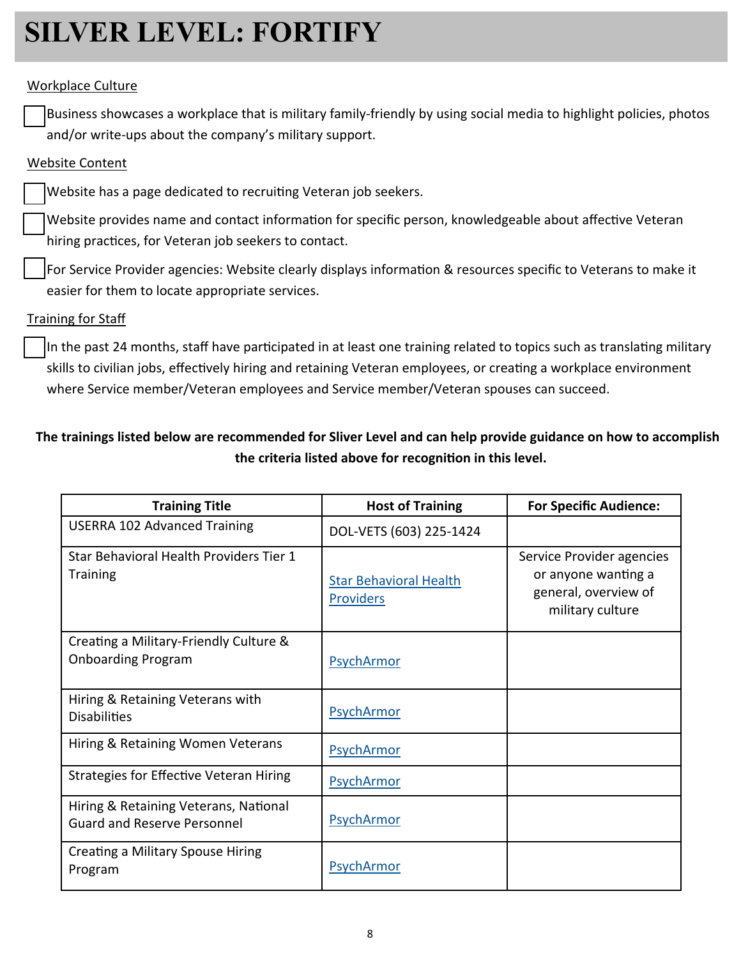# **SILVER LEVEL: FORTIFY**

#### Workplace Culture

Business showcases a workplace that is military family‐friendly by using social media to highlight policies, photos and/or write‐ups about the company's military support.

#### Website Content

Website has a page dedicated to recruiting Veteran job seekers.

Website provides name and contact information for specific person, knowledgeable about affective Veteran hiring practices, for Veteran job seekers to contact.

For Service Provider agencies: Website clearly displays information & resources specific to Veterans to make it easier for them to locate appropriate services.

#### Training for Staff

In the past 24 months, staff have participated in at least one training related to topics such as translating military skills to civilian jobs, effectively hiring and retaining Veteran employees, or creating a workplace environment where Service member/Veteran employees and Service member/Veteran spouses can succeed.

### **The trainings listed below are recommended for Sliver Level and can help provide guidance on how to accomplish the criteria listed above for recogniƟon in this level.**

| <b>Training Title</b>                                                       | <b>Host of Training</b>                           | <b>For Specific Audience:</b>                                                                |
|-----------------------------------------------------------------------------|---------------------------------------------------|----------------------------------------------------------------------------------------------|
| <b>USERRA 102 Advanced Training</b>                                         | DOL-VETS (603) 225-1424                           |                                                                                              |
| Star Behavioral Health Providers Tier 1<br><b>Training</b>                  | <b>Star Behavioral Health</b><br><b>Providers</b> | Service Provider agencies<br>or anyone wanting a<br>general, overview of<br>military culture |
| Creating a Military-Friendly Culture &<br><b>Onboarding Program</b>         | PsychArmor                                        |                                                                                              |
| Hiring & Retaining Veterans with<br><b>Disabilities</b>                     | PsychArmor                                        |                                                                                              |
| Hiring & Retaining Women Veterans                                           | PsychArmor                                        |                                                                                              |
| <b>Strategies for Effective Veteran Hiring</b>                              | PsychArmor                                        |                                                                                              |
| Hiring & Retaining Veterans, National<br><b>Guard and Reserve Personnel</b> | PsychArmor                                        |                                                                                              |
| Creating a Military Spouse Hiring<br>Program                                | PsychArmor                                        |                                                                                              |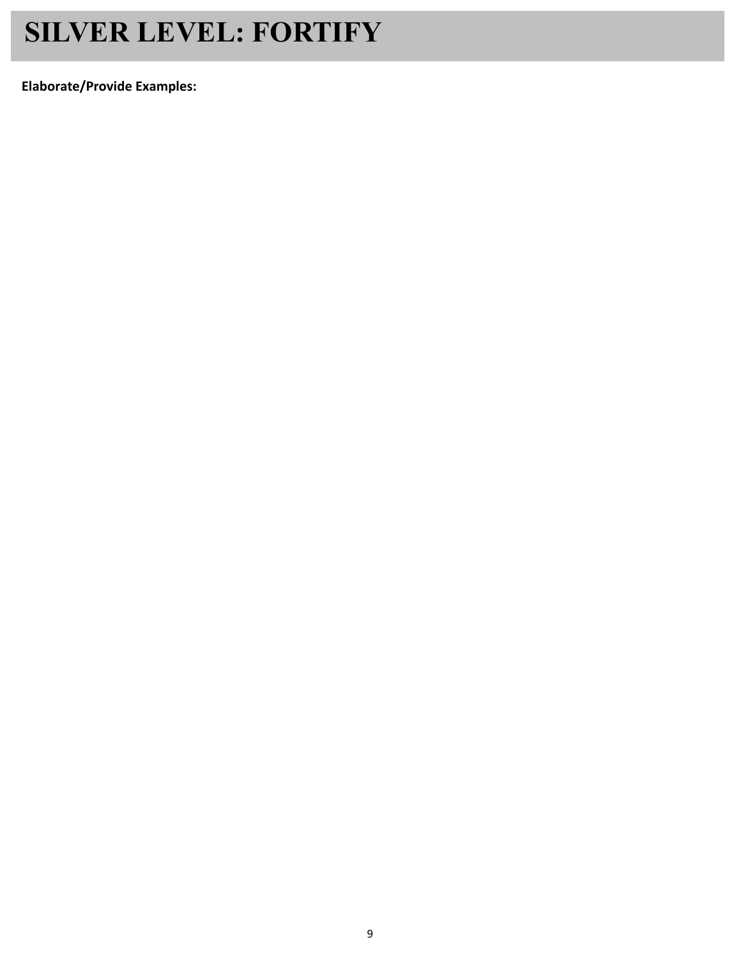# **SILVER LEVEL: FORTIFY**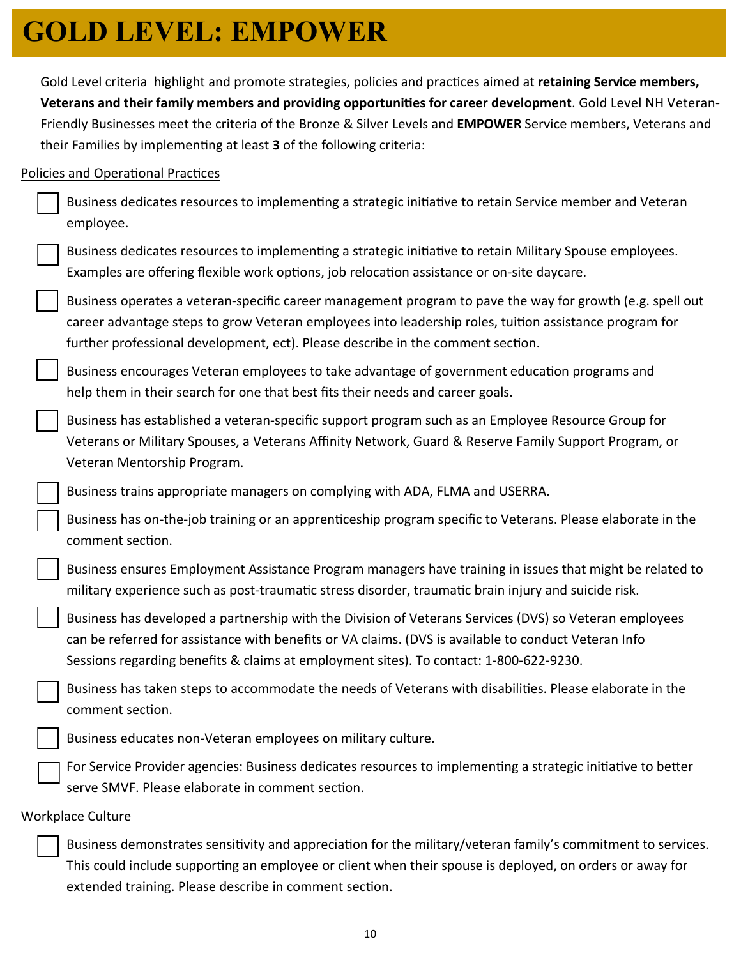# **GOLD LEVEL: EMPOWER**

Gold Level criteria highlight and promote strategies, policies and practices aimed at retaining Service members, **Veterans and their family members and providing opportunities for career development. Gold Level NH Veteran-**Friendly Businesses meet the criteria of the Bronze & Silver Levels and **EMPOWER** Service members, Veterans and their Families by implementing at least 3 of the following criteria:

### Policies and Operational Practices

| Business dedicates resources to implementing a strategic initiative to retain Service member and Veteran<br>employee.                                                                                                                                                                                    |
|----------------------------------------------------------------------------------------------------------------------------------------------------------------------------------------------------------------------------------------------------------------------------------------------------------|
| Business dedicates resources to implementing a strategic initiative to retain Military Spouse employees.<br>Examples are offering flexible work options, job relocation assistance or on-site daycare.                                                                                                   |
| Business operates a veteran-specific career management program to pave the way for growth (e.g. spell out<br>career advantage steps to grow Veteran employees into leadership roles, tuition assistance program for<br>further professional development, ect). Please describe in the comment section.   |
| Business encourages Veteran employees to take advantage of government education programs and<br>help them in their search for one that best fits their needs and career goals.                                                                                                                           |
| Business has established a veteran-specific support program such as an Employee Resource Group for<br>Veterans or Military Spouses, a Veterans Affinity Network, Guard & Reserve Family Support Program, or<br>Veteran Mentorship Program.                                                               |
| Business trains appropriate managers on complying with ADA, FLMA and USERRA.                                                                                                                                                                                                                             |
| Business has on-the-job training or an apprenticeship program specific to Veterans. Please elaborate in the<br>comment section.                                                                                                                                                                          |
| Business ensures Employment Assistance Program managers have training in issues that might be related to<br>military experience such as post-traumatic stress disorder, traumatic brain injury and suicide risk.                                                                                         |
| Business has developed a partnership with the Division of Veterans Services (DVS) so Veteran employees<br>can be referred for assistance with benefits or VA claims. (DVS is available to conduct Veteran Info<br>Sessions regarding benefits & claims at employment sites). To contact: 1-800-622-9230. |
| Business has taken steps to accommodate the needs of Veterans with disabilities. Please elaborate in the<br>comment section.                                                                                                                                                                             |
| Business educates non-Veteran employees on military culture.                                                                                                                                                                                                                                             |
| For Service Provider agencies: Business dedicates resources to implementing a strategic initiative to better<br>serve SMVF. Please elaborate in comment section.                                                                                                                                         |
| Workplace Culture                                                                                                                                                                                                                                                                                        |

Business demonstrates sensitivity and appreciation for the military/veteran family's commitment to services. This could include supporting an employee or client when their spouse is deployed, on orders or away for extended training. Please describe in comment section.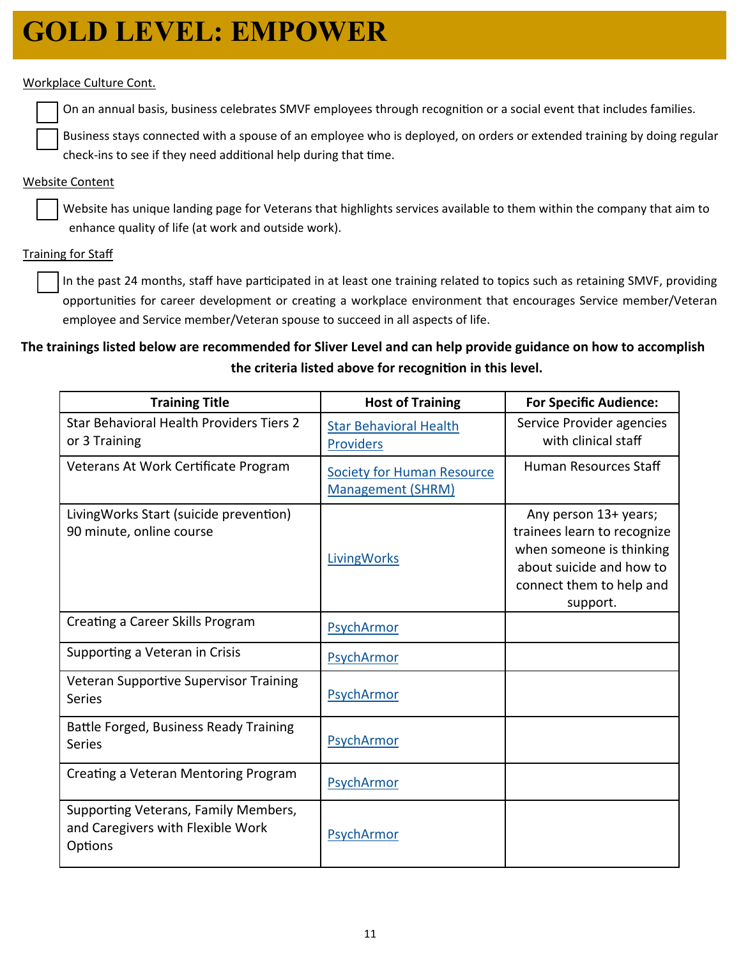## **GOLD LEVEL: EMPOWER**

#### Workplace Culture Cont.

On an annual basis, business celebrates SMVF employees through recognition or a social event that includes families.

Business stays connected with a spouse of an employee who is deployed, on orders or extended training by doing regular check-ins to see if they need additional help during that time.

#### Website Content

Website has unique landing page for Veterans that highlights services available to them within the company that aim to enhance quality of life (at work and outside work).

#### Training for Staff

In the past 24 months, staff have participated in at least one training related to topics such as retaining SMVF, providing opportunities for career development or creating a workplace environment that encourages Service member/Veteran employee and Service member/Veteran spouse to succeed in all aspects of life.

### **The trainings listed below are recommended for Sliver Level and can help provide guidance on how to accomplish the criteria listed above for recogniƟon in this level.**

| <b>Training Title</b>                                                                | <b>Host of Training</b>                                       | <b>For Specific Audience:</b>                                                                                                                        |
|--------------------------------------------------------------------------------------|---------------------------------------------------------------|------------------------------------------------------------------------------------------------------------------------------------------------------|
| Star Behavioral Health Providers Tiers 2<br>or 3 Training                            | <b>Star Behavioral Health</b><br><b>Providers</b>             | Service Provider agencies<br>with clinical staff                                                                                                     |
| Veterans At Work Certificate Program                                                 | <b>Society for Human Resource</b><br><b>Management (SHRM)</b> | Human Resources Staff                                                                                                                                |
| LivingWorks Start (suicide prevention)<br>90 minute, online course                   | <b>LivingWorks</b>                                            | Any person 13+ years;<br>trainees learn to recognize<br>when someone is thinking<br>about suicide and how to<br>connect them to help and<br>support. |
| Creating a Career Skills Program                                                     | PsychArmor                                                    |                                                                                                                                                      |
| Supporting a Veteran in Crisis                                                       | PsychArmor                                                    |                                                                                                                                                      |
| Veteran Supportive Supervisor Training<br><b>Series</b>                              | PsychArmor                                                    |                                                                                                                                                      |
| Battle Forged, Business Ready Training<br><b>Series</b>                              | PsychArmor                                                    |                                                                                                                                                      |
| Creating a Veteran Mentoring Program                                                 | PsychArmor                                                    |                                                                                                                                                      |
| Supporting Veterans, Family Members,<br>and Caregivers with Flexible Work<br>Options | PsychArmor                                                    |                                                                                                                                                      |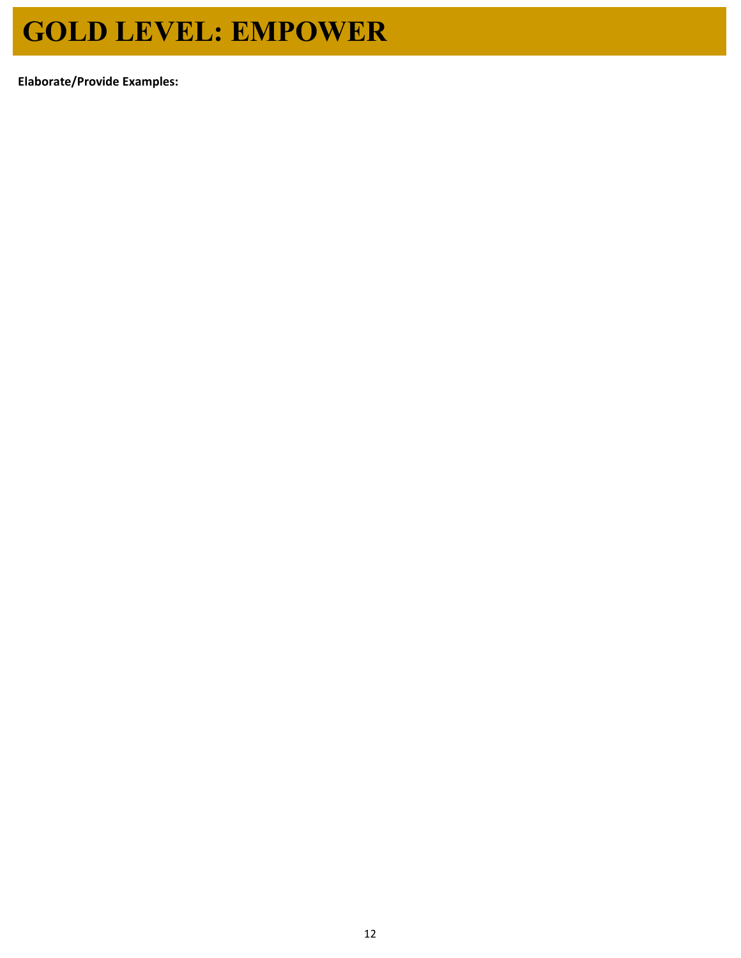# **GOLD LEVEL: EMPOWER**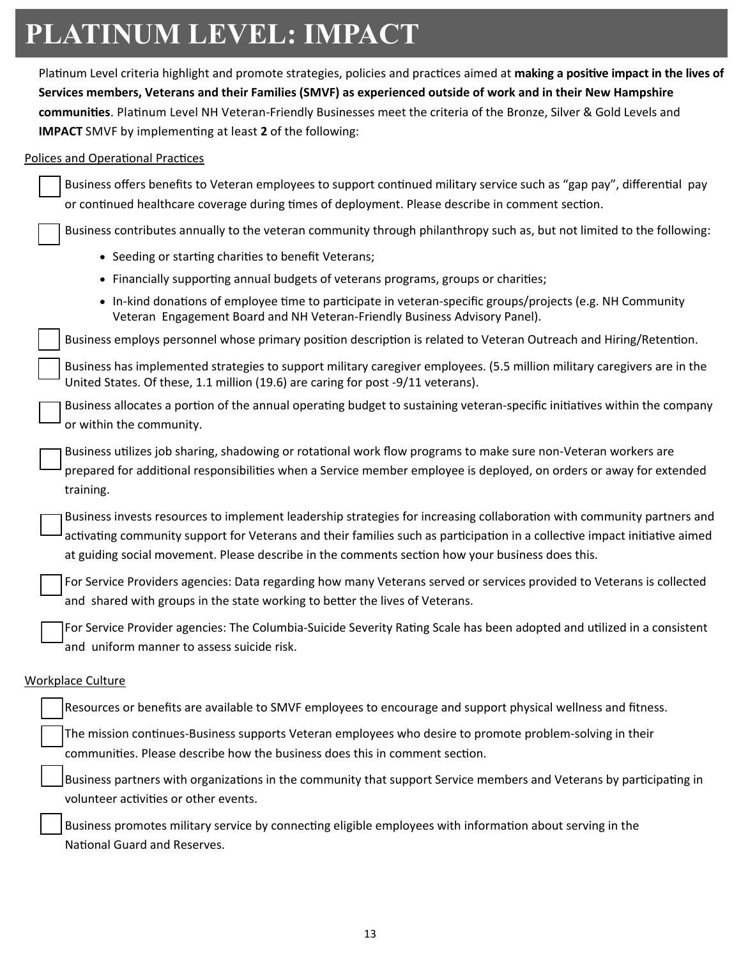# **PLATINUM LEVEL: IMPACT**

Platinum Level criteria highlight and promote strategies, policies and practices aimed at making a positive impact in the lives of **Services members, Veterans and their Families (SMVF) as experienced outside of work and in their New Hampshire**  communities. Platinum Level NH Veteran-Friendly Businesses meet the criteria of the Bronze, Silver & Gold Levels and **IMPACT** SMVF by implementing at least 2 of the following:

#### Polices and Operational Practices

| Business offers benefits to Veteran employees to support continued military service such as "gap pay", differential pay<br>or continued healthcare coverage during times of deployment. Please describe in comment section.                                                                                                                              |
|----------------------------------------------------------------------------------------------------------------------------------------------------------------------------------------------------------------------------------------------------------------------------------------------------------------------------------------------------------|
|                                                                                                                                                                                                                                                                                                                                                          |
| Business contributes annually to the veteran community through philanthropy such as, but not limited to the following:                                                                                                                                                                                                                                   |
| • Seeding or starting charities to benefit Veterans;                                                                                                                                                                                                                                                                                                     |
| • Financially supporting annual budgets of veterans programs, groups or charities;                                                                                                                                                                                                                                                                       |
| • In-kind donations of employee time to participate in veteran-specific groups/projects (e.g. NH Community<br>Veteran Engagement Board and NH Veteran-Friendly Business Advisory Panel).                                                                                                                                                                 |
| Business employs personnel whose primary position description is related to Veteran Outreach and Hiring/Retention.                                                                                                                                                                                                                                       |
| Business has implemented strategies to support military caregiver employees. (5.5 million military caregivers are in the<br>United States. Of these, 1.1 million (19.6) are caring for post -9/11 veterans).                                                                                                                                             |
| Business allocates a portion of the annual operating budget to sustaining veteran-specific initiatives within the company<br>or within the community.                                                                                                                                                                                                    |
| Business utilizes job sharing, shadowing or rotational work flow programs to make sure non-Veteran workers are<br>prepared for additional responsibilities when a Service member employee is deployed, on orders or away for extended<br>training.                                                                                                       |
| Business invests resources to implement leadership strategies for increasing collaboration with community partners and<br>activating community support for Veterans and their families such as participation in a collective impact initiative aimed<br>at guiding social movement. Please describe in the comments section how your business does this. |
| For Service Providers agencies: Data regarding how many Veterans served or services provided to Veterans is collected<br>and shared with groups in the state working to better the lives of Veterans.                                                                                                                                                    |
| For Service Provider agencies: The Columbia-Suicide Severity Rating Scale has been adopted and utilized in a consistent<br>and uniform manner to assess suicide risk.                                                                                                                                                                                    |
| <b>Workplace Culture</b>                                                                                                                                                                                                                                                                                                                                 |
| Resources or benefits are available to SMVF employees to encourage and support physical wellness and fitness.                                                                                                                                                                                                                                            |
| The mission continues-Business supports Veteran employees who desire to promote problem-solving in their<br>communities. Please describe how the business does this in comment section.                                                                                                                                                                  |
| Business partners with organizations in the community that support Service members and Veterans by participating in<br>volunteer activities or other events.                                                                                                                                                                                             |
| Business promotes military service by connecting eligible employees with information about serving in the<br>National Guard and Reserves.                                                                                                                                                                                                                |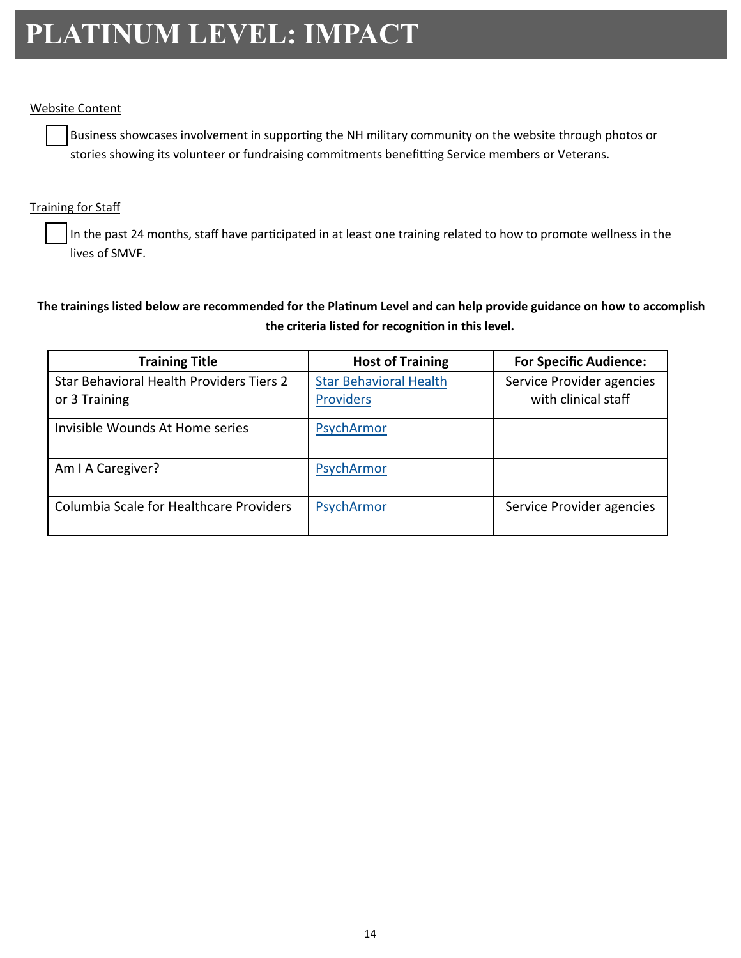## **PLATINUM LEVEL: IMPACT**

#### Website Content

Business showcases involvement in supporting the NH military community on the website through photos or stories showing its volunteer or fundraising commitments benefitting Service members or Veterans.

#### **Training for Staff**

In the past 24 months, staff have participated in at least one training related to how to promote wellness in the lives of SMVF.

### The trainings listed below are recommended for the Platinum Level and can help provide guidance on how to accomplish **the criteria listed for recogniƟon in this level.**

| <b>Training Title</b>                                     | <b>Host of Training</b>                           | <b>For Specific Audience:</b>                    |
|-----------------------------------------------------------|---------------------------------------------------|--------------------------------------------------|
| Star Behavioral Health Providers Tiers 2<br>or 3 Training | <b>Star Behavioral Health</b><br><b>Providers</b> | Service Provider agencies<br>with clinical staff |
| Invisible Wounds At Home series                           | PsychArmor                                        |                                                  |
| Am I A Caregiver?                                         | PsychArmor                                        |                                                  |
| Columbia Scale for Healthcare Providers                   | PsychArmor                                        | Service Provider agencies                        |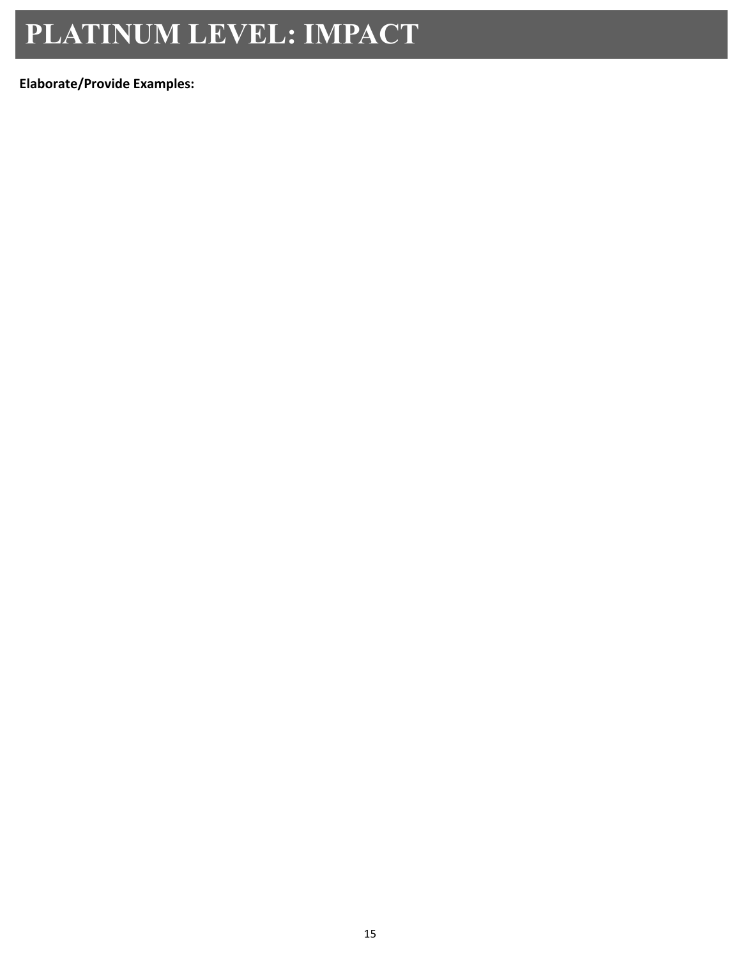## **PLATINUM LEVEL: IMPACT**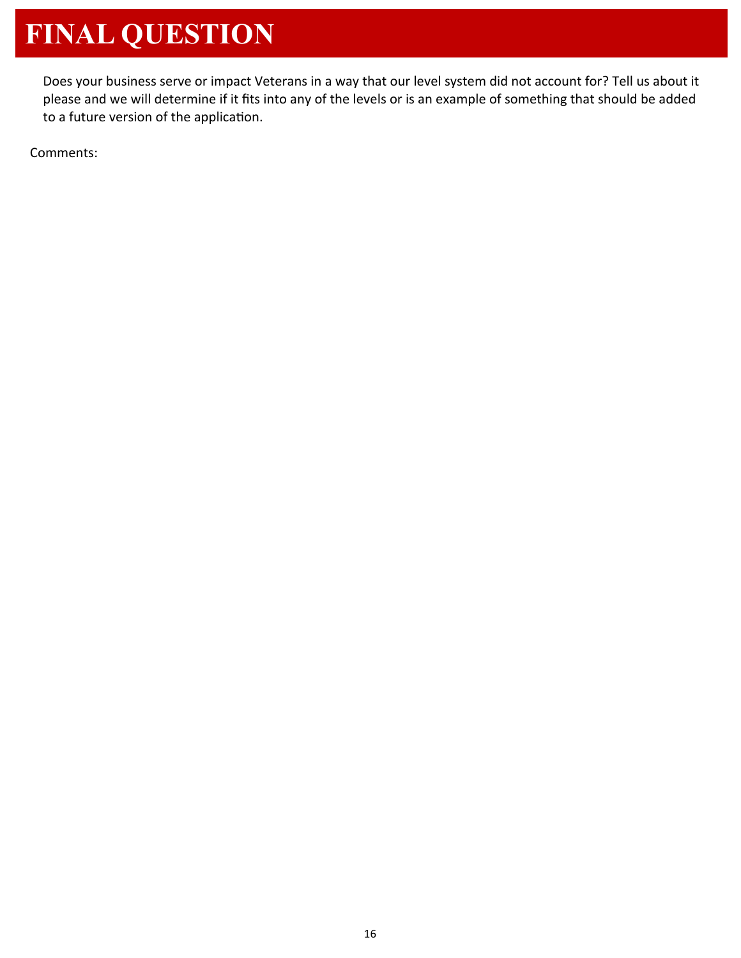# **FINAL QUESTION**

Does your business serve or impact Veterans in a way that our level system did not account for? Tell us about it please and we will determine if it fits into any of the levels or is an example of something that should be added to a future version of the application.

Comments: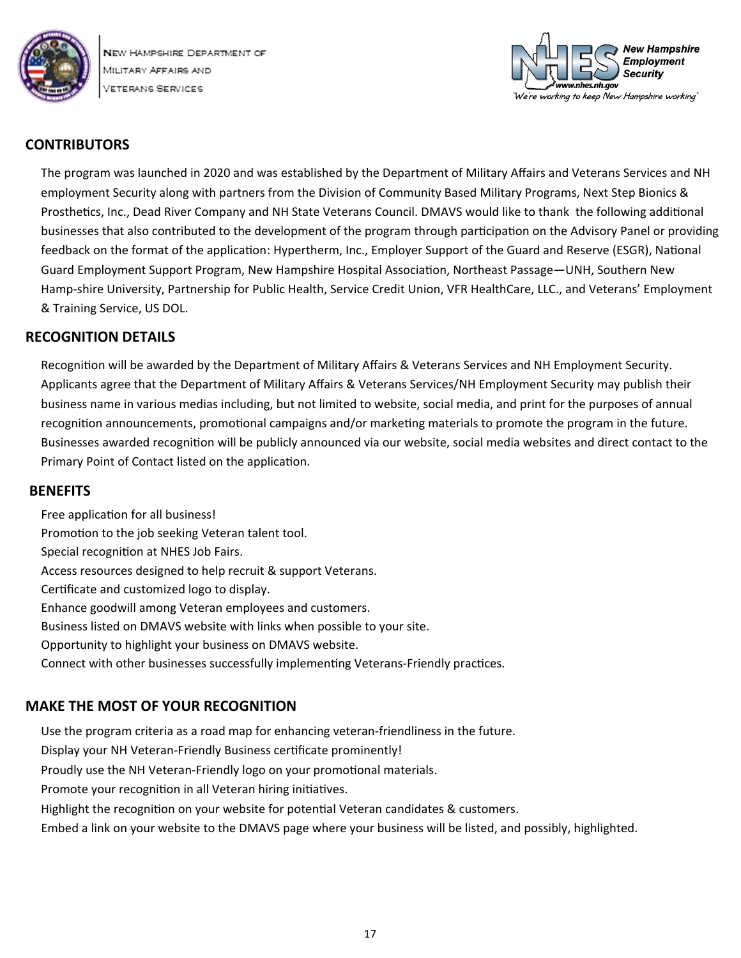



#### **CONTRIBUTORS**

The program was launched in 2020 and was established by the Department of Military Affairs and Veterans Services and NH employment Security along with partners from the Division of Community Based Military Programs, Next Step Bionics & Prosthetics, Inc., Dead River Company and NH State Veterans Council. DMAVS would like to thank the following additional businesses that also contributed to the development of the program through participation on the Advisory Panel or providing feedback on the format of the application: Hypertherm, Inc., Employer Support of the Guard and Reserve (ESGR), National Guard Employment Support Program, New Hampshire Hospital Association, Northeast Passage—UNH, Southern New Hamp‐shire University, Partnership for Public Health, Service Credit Union, VFR HealthCare, LLC., and Veterans' Employment & Training Service, US DOL.

#### **RECOGNITION DETAILS**

Recognition will be awarded by the Department of Military Affairs & Veterans Services and NH Employment Security. Applicants agree that the Department of Military Affairs & Veterans Services/NH Employment Security may publish their business name in various medias including, but not limited to website, social media, and print for the purposes of annual recognition announcements, promotional campaigns and/or marketing materials to promote the program in the future. Businesses awarded recognition will be publicly announced via our website, social media websites and direct contact to the Primary Point of Contact listed on the application.

#### **BENEFITS**

Free application for all business! Promotion to the job seeking Veteran talent tool. Special recognition at NHES Job Fairs. Access resources designed to help recruit & support Veterans. Certificate and customized logo to display. Enhance goodwill among Veteran employees and customers. Business listed on DMAVS website with links when possible to your site. Opportunity to highlight your business on DMAVS website. Connect with other businesses successfully implementing Veterans-Friendly practices.

### **MAKE THE MOST OF YOUR RECOGNITION**

Use the program criteria as a road map for enhancing veteran‐friendliness in the future. Display your NH Veteran-Friendly Business certificate prominently! Proudly use the NH Veteran-Friendly logo on your promotional materials. Promote your recognition in all Veteran hiring initiatives. Highlight the recognition on your website for potential Veteran candidates & customers. Embed a link on your website to the DMAVS page where your business will be listed, and possibly, highlighted.